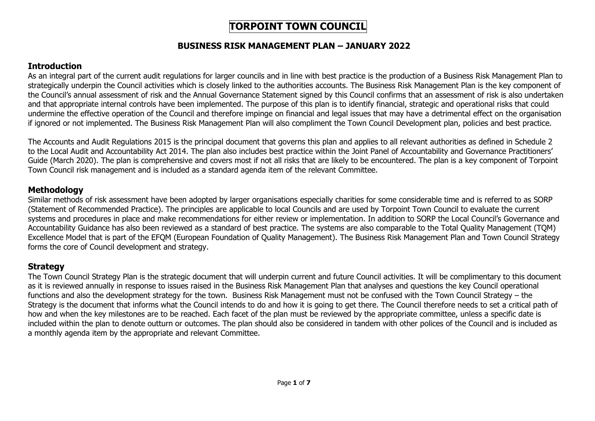# **TORPOINT TOWN COUNCIL**

#### **BUSINESS RISK MANAGEMENT PLAN – JANUARY 2022**

### **Introduction**

As an integral part of the current audit regulations for larger councils and in line with best practice is the production of a Business Risk Management Plan to strategically underpin the Council activities which is closely linked to the authorities accounts. The Business Risk Management Plan is the key component of the Council's annual assessment of risk and the Annual Governance Statement signed by this Council confirms that an assessment of risk is also undertaken and that appropriate internal controls have been implemented. The purpose of this plan is to identify financial, strategic and operational risks that could undermine the effective operation of the Council and therefore impinge on financial and legal issues that may have a detrimental effect on the organisation if ignored or not implemented. The Business Risk Management Plan will also compliment the Town Council Development plan, policies and best practice.

The Accounts and Audit Regulations 2015 is the principal document that governs this plan and applies to all relevant authorities as defined in Schedule 2 to the Local Audit and Accountability Act 2014. The plan also includes best practice within the Joint Panel of Accountability and Governance Practitioners' Guide (March 2020). The plan is comprehensive and covers most if not all risks that are likely to be encountered. The plan is a key component of Torpoint Town Council risk management and is included as a standard agenda item of the relevant Committee.

### **Methodology**

Similar methods of risk assessment have been adopted by larger organisations especially charities for some considerable time and is referred to as SORP (Statement of Recommended Practice). The principles are applicable to local Councils and are used by Torpoint Town Council to evaluate the current systems and procedures in place and make recommendations for either review or implementation. In addition to SORP the Local Council's Governance and Accountability Guidance has also been reviewed as a standard of best practice. The systems are also comparable to the Total Quality Management (TQM) Excellence Model that is part of the EFQM (European Foundation of Quality Management). The Business Risk Management Plan and Town Council Strategy forms the core of Council development and strategy.

## **Strategy**

The Town Council Strategy Plan is the strategic document that will underpin current and future Council activities. It will be complimentary to this document as it is reviewed annually in response to issues raised in the Business Risk Management Plan that analyses and questions the key Council operational functions and also the development strategy for the town. Business Risk Management must not be confused with the Town Council Strategy – the Strategy is the document that informs what the Council intends to do and how it is going to get there. The Council therefore needs to set a critical path of how and when the key milestones are to be reached. Each facet of the plan must be reviewed by the appropriate committee, unless a specific date is included within the plan to denote outturn or outcomes. The plan should also be considered in tandem with other polices of the Council and is included as a monthly agenda item by the appropriate and relevant Committee.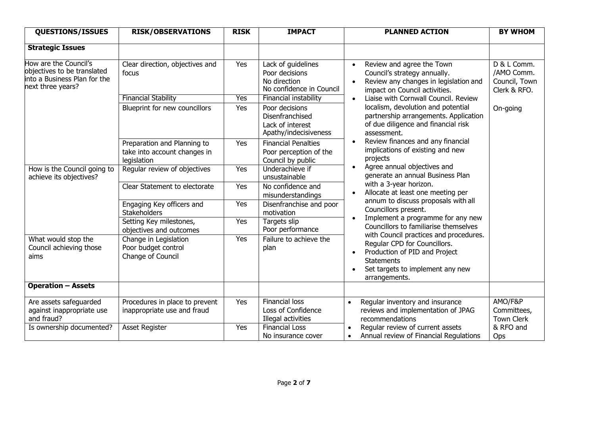| <b>QUESTIONS/ISSUES</b>                                                                                   | <b>RISK/OBSERVATIONS</b>                                                   | <b>RISK</b> | <b>IMPACT</b>                                                                    | <b>PLANNED ACTION</b>                                                                                                                                                             | <b>BY WHOM</b>                                             |
|-----------------------------------------------------------------------------------------------------------|----------------------------------------------------------------------------|-------------|----------------------------------------------------------------------------------|-----------------------------------------------------------------------------------------------------------------------------------------------------------------------------------|------------------------------------------------------------|
| <b>Strategic Issues</b>                                                                                   |                                                                            |             |                                                                                  |                                                                                                                                                                                   |                                                            |
| How are the Council's<br>objectives to be translated<br>into a Business Plan for the<br>next three years? | Clear direction, objectives and<br>focus                                   | Yes         | Lack of guidelines<br>Poor decisions<br>No direction<br>No confidence in Council | Review and agree the Town<br>Council's strategy annually.<br>Review any changes in legislation and<br>impact on Council activities.                                               | D & L Comm.<br>/AMO Comm.<br>Council, Town<br>Clerk & RFO. |
|                                                                                                           | <b>Financial Stability</b>                                                 | Yes         | Financial instability                                                            | Liaise with Cornwall Council. Review                                                                                                                                              |                                                            |
|                                                                                                           | Blueprint for new councillors                                              | Yes         | Poor decisions<br>Disenfranchised<br>Lack of interest<br>Apathy/indecisiveness   | localism, devolution and potential<br>partnership arrangements. Application<br>of due diligence and financial risk<br>assessment.                                                 | On-going                                                   |
|                                                                                                           | Preparation and Planning to<br>take into account changes in<br>legislation | Yes         | <b>Financial Penalties</b><br>Poor perception of the<br>Council by public        | Review finances and any financial<br>implications of existing and new<br>projects                                                                                                 |                                                            |
| How is the Council going to<br>achieve its objectives?                                                    | Regular review of objectives                                               | Yes         | Underachieve if<br>unsustainable                                                 | Agree annual objectives and<br>$\bullet$<br>generate an annual Business Plan                                                                                                      |                                                            |
|                                                                                                           | Clear Statement to electorate                                              | Yes         | No confidence and<br>misunderstandings                                           | with a 3-year horizon.<br>Allocate at least one meeting per                                                                                                                       |                                                            |
|                                                                                                           | Engaging Key officers and<br>Stakeholders                                  | Yes         | Disenfranchise and poor<br>motivation                                            | annum to discuss proposals with all<br>Councillors present.                                                                                                                       |                                                            |
|                                                                                                           | Setting Key milestones,<br>objectives and outcomes                         | Yes         | Targets slip<br>Poor performance                                                 | Implement a programme for any new<br>Councillors to familiarise themselves                                                                                                        |                                                            |
| What would stop the<br>Council achieving those<br>aims                                                    | Change in Legislation<br>Poor budget control<br>Change of Council          | Yes         | Failure to achieve the<br>plan                                                   | with Council practices and procedures.<br>Regular CPD for Councillors.<br>Production of PID and Project<br><b>Statements</b><br>Set targets to implement any new<br>arrangements. |                                                            |
| <b>Operation - Assets</b>                                                                                 |                                                                            |             |                                                                                  |                                                                                                                                                                                   |                                                            |
| Are assets safeguarded<br>against inappropriate use<br>and fraud?                                         | Procedures in place to prevent<br>inappropriate use and fraud              | Yes         | <b>Financial loss</b><br>Loss of Confidence<br>Illegal activities                | Regular inventory and insurance<br>reviews and implementation of JPAG<br>recommendations                                                                                          | AMO/F&P<br>Committees,<br><b>Town Clerk</b>                |
| Is ownership documented?                                                                                  | <b>Asset Register</b>                                                      | Yes         | <b>Financial Loss</b><br>No insurance cover                                      | Regular review of current assets<br>Annual review of Financial Regulations                                                                                                        | & RFO and<br>Ops                                           |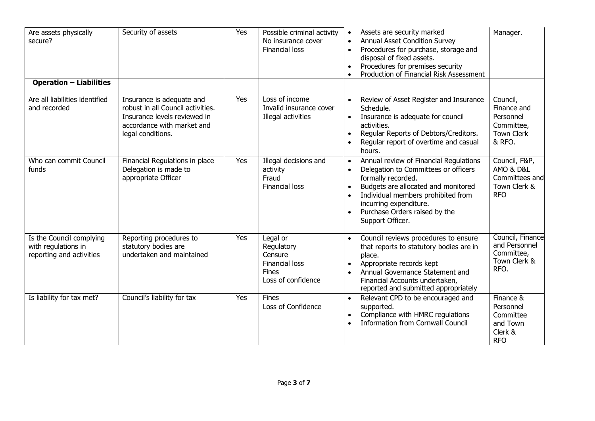| Are assets physically<br>secure?                                            | Security of assets                                                                                                                                | Yes | Possible criminal activity<br>No insurance cover<br><b>Financial loss</b>                 | Assets are security marked<br>Manager.<br><b>Annual Asset Condition Survey</b><br>$\bullet$<br>Procedures for purchase, storage and<br>$\bullet$<br>disposal of fixed assets.<br>Procedures for premises security<br>$\bullet$<br>Production of Financial Risk Assessment<br>$\bullet$                                                                                                                          |
|-----------------------------------------------------------------------------|---------------------------------------------------------------------------------------------------------------------------------------------------|-----|-------------------------------------------------------------------------------------------|-----------------------------------------------------------------------------------------------------------------------------------------------------------------------------------------------------------------------------------------------------------------------------------------------------------------------------------------------------------------------------------------------------------------|
| <b>Operation - Liabilities</b>                                              |                                                                                                                                                   |     |                                                                                           |                                                                                                                                                                                                                                                                                                                                                                                                                 |
| Are all liabilities identified<br>and recorded                              | Insurance is adequate and<br>robust in all Council activities.<br>Insurance levels reviewed in<br>accordance with market and<br>legal conditions. | Yes | Loss of income<br>Invalid insurance cover<br>Illegal activities                           | Review of Asset Register and Insurance<br>Council,<br>$\bullet$<br>Finance and<br>Schedule.<br>Personnel<br>Insurance is adequate for council<br>$\bullet$<br>Committee,<br>activities.<br><b>Town Clerk</b><br>Regular Reports of Debtors/Creditors.<br>$\bullet$<br>& RFO.<br>Regular report of overtime and casual<br>$\bullet$<br>hours.                                                                    |
| Who can commit Council<br>funds                                             | Financial Regulations in place<br>Delegation is made to<br>appropriate Officer                                                                    | Yes | Illegal decisions and<br>activity<br>Fraud<br><b>Financial loss</b>                       | Council, F&P,<br>Annual review of Financial Regulations<br>$\bullet$<br>AMO & D&L<br>Delegation to Committees or officers<br>$\bullet$<br>Committees and<br>formally recorded.<br>Budgets are allocated and monitored<br>Town Clerk &<br>$\bullet$<br>Individual members prohibited from<br><b>RFO</b><br>$\bullet$<br>incurring expenditure.<br>Purchase Orders raised by the<br>$\bullet$<br>Support Officer. |
| Is the Council complying<br>with regulations in<br>reporting and activities | Reporting procedures to<br>statutory bodies are<br>undertaken and maintained                                                                      | Yes | Legal or<br>Regulatory<br>Censure<br>Financial loss<br><b>Fines</b><br>Loss of confidence | Council, Finance<br>Council reviews procedures to ensure<br>$\bullet$<br>and Personnel<br>that reports to statutory bodies are in<br>Committee,<br>place.<br>Town Clerk &<br>Appropriate records kept<br>$\bullet$<br>RFO.<br>Annual Governance Statement and<br>Financial Accounts undertaken,<br>reported and submitted appropriately                                                                         |
| Is liability for tax met?                                                   | Council's liability for tax                                                                                                                       | Yes | <b>Fines</b><br>Loss of Confidence                                                        | Relevant CPD to be encouraged and<br>Finance &<br>$\bullet$<br>Personnel<br>supported.<br>Compliance with HMRC regulations<br>Committee<br>$\bullet$<br><b>Information from Cornwall Council</b><br>and Town<br>Clerk &<br><b>RFO</b>                                                                                                                                                                           |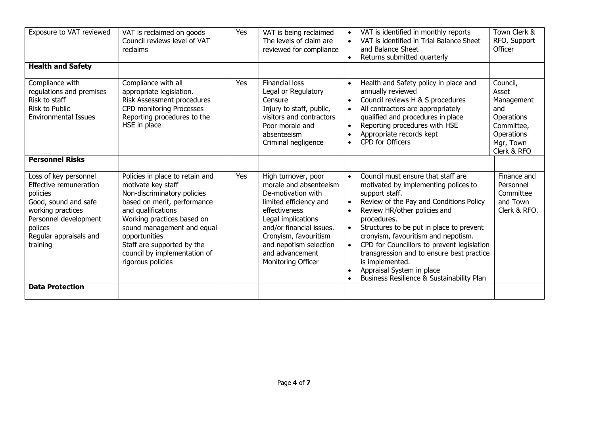| Exposure to VAT reviewed                                                                                                                                                           | VAT is reclaimed on goods<br>Council reviews level of VAT<br>reclaims                                                                                                                                                                                                                                     | Yes | VAT is being reclaimed<br>The levels of claim are<br>reviewed for compliance                                                                                                                                                                                 | Town Clerk &<br>VAT is identified in monthly reports<br>$\bullet$<br>VAT is identified in Trial Balance Sheet<br>RFO, Support<br>Officer<br>and Balance Sheet<br>Returns submitted quarterly<br>$\bullet$                                                                                                                                                                                                                                                                                                                                                                                               |
|------------------------------------------------------------------------------------------------------------------------------------------------------------------------------------|-----------------------------------------------------------------------------------------------------------------------------------------------------------------------------------------------------------------------------------------------------------------------------------------------------------|-----|--------------------------------------------------------------------------------------------------------------------------------------------------------------------------------------------------------------------------------------------------------------|---------------------------------------------------------------------------------------------------------------------------------------------------------------------------------------------------------------------------------------------------------------------------------------------------------------------------------------------------------------------------------------------------------------------------------------------------------------------------------------------------------------------------------------------------------------------------------------------------------|
| <b>Health and Safety</b>                                                                                                                                                           |                                                                                                                                                                                                                                                                                                           |     |                                                                                                                                                                                                                                                              |                                                                                                                                                                                                                                                                                                                                                                                                                                                                                                                                                                                                         |
| Compliance with<br>regulations and premises<br>Risk to staff<br><b>Risk to Public</b><br><b>Environmental Issues</b>                                                               | Compliance with all<br>appropriate legislation.<br>Risk Assessment procedures<br><b>CPD monitoring Processes</b><br>Reporting procedures to the<br>HSE in place                                                                                                                                           | Yes | <b>Financial loss</b><br>Legal or Regulatory<br>Censure<br>Injury to staff, public,<br>visitors and contractors<br>Poor morale and<br>absenteeism<br>Criminal negligence                                                                                     | Council,<br>Health and Safety policy in place and<br>$\bullet$<br>annually reviewed<br>Asset<br>Council reviews H & S procedures<br>Management<br>$\bullet$<br>All contractors are appropriately<br>and<br>$\bullet$<br>qualified and procedures in place<br>Operations<br>Reporting procedures with HSE<br>Committee,<br>$\bullet$<br>Appropriate records kept<br>Operations<br>CPD for Officers<br>$\bullet$<br>Mgr, Town<br>Clerk & RFO                                                                                                                                                              |
| <b>Personnel Risks</b>                                                                                                                                                             |                                                                                                                                                                                                                                                                                                           |     |                                                                                                                                                                                                                                                              |                                                                                                                                                                                                                                                                                                                                                                                                                                                                                                                                                                                                         |
| Loss of key personnel<br>Effective remuneration<br>policies<br>Good, sound and safe<br>working practices<br>Personnel development<br>polices<br>Regular appraisals and<br>training | Policies in place to retain and<br>motivate key staff<br>Non-discriminatory policies<br>based on merit, performance<br>and qualifications<br>Working practices based on<br>sound management and equal<br>opportunities<br>Staff are supported by the<br>council by implementation of<br>rigorous policies | Yes | High turnover, poor<br>morale and absenteeism<br>De-motivation with<br>limited efficiency and<br>effectiveness<br>Legal implications<br>and/or financial issues.<br>Cronyism, favouritism<br>and nepotism selection<br>and advancement<br>Monitoring Officer | Council must ensure that staff are<br>Finance and<br>$\bullet$<br>motivated by implementing polices to<br>Personnel<br>Committee<br>support staff.<br>Review of the Pay and Conditions Policy<br>and Town<br>$\bullet$<br>Review HR/other policies and<br>Clerk & RFO.<br>procedures.<br>Structures to be put in place to prevent<br>$\bullet$<br>cronyism, favouritism and nepotism.<br>CPD for Councillors to prevent legislation<br>$\bullet$<br>transgression and to ensure best practice<br>is implemented.<br>Appraisal System in place<br>$\bullet$<br>Business Resilience & Sustainability Plan |
| <b>Data Protection</b>                                                                                                                                                             |                                                                                                                                                                                                                                                                                                           |     |                                                                                                                                                                                                                                                              |                                                                                                                                                                                                                                                                                                                                                                                                                                                                                                                                                                                                         |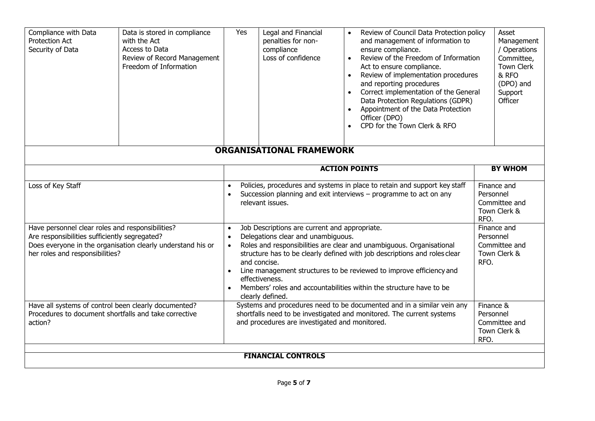| Compliance with Data<br>Protection Act<br>Security of Data                                                                                                                                          | Data is stored in compliance<br>with the Act<br>Access to Data<br>Review of Record Management<br>Freedom of Information | Yes                                                                                                                                                                                                                                                                                                                                                                                                                                                                    | Legal and Financial<br>penalties for non-<br>compliance<br>Loss of confidence | Review of Council Data Protection policy<br>and management of information to<br>ensure compliance.<br>Review of the Freedom of Information<br>Act to ensure compliance.<br>Review of implementation procedures<br>and reporting procedures<br>Correct implementation of the General<br>Data Protection Regulations (GDPR)<br>Appointment of the Data Protection<br>Officer (DPO)<br>CPD for the Town Clerk & RFO |                                                                   | Asset<br>Management<br>/ Operations<br>Committee,<br><b>Town Clerk</b><br>& RFO<br>(DPO) and<br>Support<br>Officer |
|-----------------------------------------------------------------------------------------------------------------------------------------------------------------------------------------------------|-------------------------------------------------------------------------------------------------------------------------|------------------------------------------------------------------------------------------------------------------------------------------------------------------------------------------------------------------------------------------------------------------------------------------------------------------------------------------------------------------------------------------------------------------------------------------------------------------------|-------------------------------------------------------------------------------|------------------------------------------------------------------------------------------------------------------------------------------------------------------------------------------------------------------------------------------------------------------------------------------------------------------------------------------------------------------------------------------------------------------|-------------------------------------------------------------------|--------------------------------------------------------------------------------------------------------------------|
| <b>ORGANISATIONAL FRAMEWORK</b>                                                                                                                                                                     |                                                                                                                         |                                                                                                                                                                                                                                                                                                                                                                                                                                                                        |                                                                               |                                                                                                                                                                                                                                                                                                                                                                                                                  |                                                                   |                                                                                                                    |
|                                                                                                                                                                                                     |                                                                                                                         | <b>ACTION POINTS</b>                                                                                                                                                                                                                                                                                                                                                                                                                                                   |                                                                               |                                                                                                                                                                                                                                                                                                                                                                                                                  | <b>BY WHOM</b>                                                    |                                                                                                                    |
| Loss of Key Staff                                                                                                                                                                                   |                                                                                                                         | Policies, procedures and systems in place to retain and support key staff<br>Succession planning and exit interviews - programme to act on any<br>relevant issues.                                                                                                                                                                                                                                                                                                     |                                                                               |                                                                                                                                                                                                                                                                                                                                                                                                                  | Finance and<br>Personnel<br>Committee and<br>Town Clerk &<br>RFO. |                                                                                                                    |
| Have personnel clear roles and responsibilities?<br>Are responsibilities sufficiently segregated?<br>Does everyone in the organisation clearly understand his or<br>her roles and responsibilities? |                                                                                                                         | Job Descriptions are current and appropriate.<br>$\bullet$<br>Delegations clear and unambiguous.<br>$\bullet$<br>Roles and responsibilities are clear and unambiguous. Organisational<br>structure has to be clearly defined with job descriptions and roles clear<br>and concise.<br>Line management structures to be reviewed to improve efficiency and<br>effectiveness.<br>Members' roles and accountabilities within the structure have to be<br>clearly defined. |                                                                               |                                                                                                                                                                                                                                                                                                                                                                                                                  | Personnel<br>RFO.                                                 | Finance and<br>Committee and<br>Town Clerk &                                                                       |
| Have all systems of control been clearly documented?<br>Procedures to document shortfalls and take corrective<br>action?                                                                            |                                                                                                                         | Systems and procedures need to be documented and in a similar vein any<br>shortfalls need to be investigated and monitored. The current systems<br>and procedures are investigated and monitored.                                                                                                                                                                                                                                                                      |                                                                               |                                                                                                                                                                                                                                                                                                                                                                                                                  |                                                                   | Finance &<br>Personnel<br>Committee and<br>Town Clerk &<br>RFO.                                                    |
| <b>FINANCIAL CONTROLS</b>                                                                                                                                                                           |                                                                                                                         |                                                                                                                                                                                                                                                                                                                                                                                                                                                                        |                                                                               |                                                                                                                                                                                                                                                                                                                                                                                                                  |                                                                   |                                                                                                                    |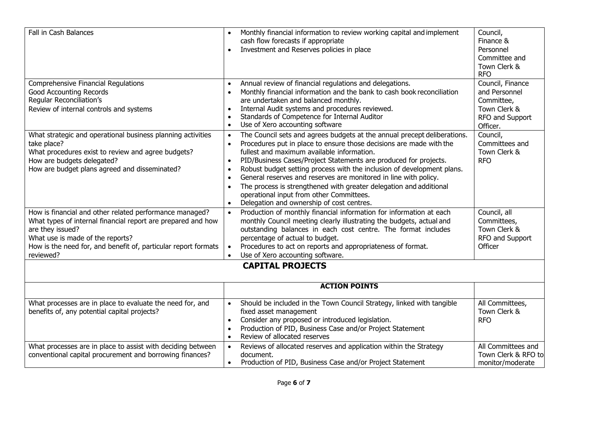| Fall in Cash Balances                                                                                                                                                                                                                                          | Monthly financial information to review working capital and implement<br>$\bullet$<br>cash flow forecasts if appropriate<br>Investment and Reserves policies in place<br>$\bullet$                                                                                                                                                                                                                                                                                                                                                                                                                                                                                        | Council,<br>Finance &<br>Personnel<br>Committee and<br>Town Clerk &<br><b>RFO</b>              |  |
|----------------------------------------------------------------------------------------------------------------------------------------------------------------------------------------------------------------------------------------------------------------|---------------------------------------------------------------------------------------------------------------------------------------------------------------------------------------------------------------------------------------------------------------------------------------------------------------------------------------------------------------------------------------------------------------------------------------------------------------------------------------------------------------------------------------------------------------------------------------------------------------------------------------------------------------------------|------------------------------------------------------------------------------------------------|--|
| Comprehensive Financial Regulations<br><b>Good Accounting Records</b><br>Regular Reconciliation's<br>Review of internal controls and systems                                                                                                                   | Annual review of financial regulations and delegations.<br>$\bullet$<br>Monthly financial information and the bank to cash book reconciliation<br>$\bullet$<br>are undertaken and balanced monthly.<br>Internal Audit systems and procedures reviewed.<br>$\bullet$<br>Standards of Competence for Internal Auditor<br>$\bullet$<br>Use of Xero accounting software<br>$\bullet$                                                                                                                                                                                                                                                                                          | Council, Finance<br>and Personnel<br>Committee,<br>Town Clerk &<br>RFO and Support<br>Officer. |  |
| What strategic and operational business planning activities<br>take place?<br>What procedures exist to review and agree budgets?<br>How are budgets delegated?<br>How are budget plans agreed and disseminated?                                                | The Council sets and agrees budgets at the annual precept deliberations.<br>$\bullet$<br>Procedures put in place to ensure those decisions are made with the<br>$\bullet$<br>fullest and maximum available information.<br>PID/Business Cases/Project Statements are produced for projects.<br>$\bullet$<br>Robust budget setting process with the inclusion of development plans.<br>$\bullet$<br>General reserves and reserves are monitored in line with policy.<br>$\bullet$<br>The process is strengthened with greater delegation and additional<br>$\bullet$<br>operational input from other Committees.<br>Delegation and ownership of cost centres.<br>$\bullet$ | Council,<br>Committees and<br>Town Clerk &<br><b>RFO</b>                                       |  |
| How is financial and other related performance managed?<br>What types of internal financial report are prepared and how<br>are they issued?<br>What use is made of the reports?<br>How is the need for, and benefit of, particular report formats<br>reviewed? | Production of monthly financial information for information at each<br>monthly Council meeting clearly illustrating the budgets, actual and<br>outstanding balances in each cost centre. The format includes<br>percentage of actual to budget.<br>Procedures to act on reports and appropriateness of format.<br>Use of Xero accounting software.                                                                                                                                                                                                                                                                                                                        | Council, all<br>Committees,<br>Town Clerk &<br>RFO and Support<br>Officer                      |  |
|                                                                                                                                                                                                                                                                | <b>CAPITAL PROJECTS</b>                                                                                                                                                                                                                                                                                                                                                                                                                                                                                                                                                                                                                                                   |                                                                                                |  |
|                                                                                                                                                                                                                                                                | <b>ACTION POINTS</b>                                                                                                                                                                                                                                                                                                                                                                                                                                                                                                                                                                                                                                                      |                                                                                                |  |
| What processes are in place to evaluate the need for, and<br>benefits of, any potential capital projects?                                                                                                                                                      | Should be included in the Town Council Strategy, linked with tangible<br>$\bullet$<br>fixed asset management<br>Consider any proposed or introduced legislation.<br>$\bullet$<br>Production of PID, Business Case and/or Project Statement<br>$\bullet$<br>Review of allocated reserves<br>$\bullet$                                                                                                                                                                                                                                                                                                                                                                      | All Committees,<br>Town Clerk &<br><b>RFO</b>                                                  |  |
| What processes are in place to assist with deciding between<br>conventional capital procurement and borrowing finances?                                                                                                                                        | Reviews of allocated reserves and application within the Strategy<br>$\bullet$<br>document.<br>Production of PID, Business Case and/or Project Statement<br>$\bullet$                                                                                                                                                                                                                                                                                                                                                                                                                                                                                                     | All Committees and<br>Town Clerk & RFO to<br>monitor/moderate                                  |  |